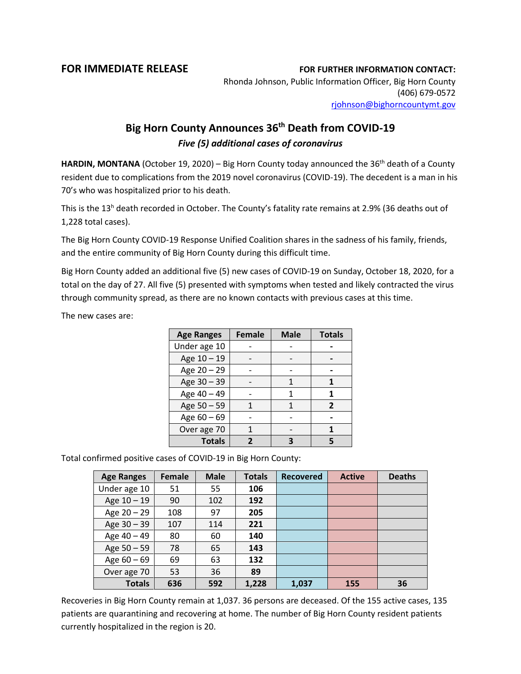## **FOR IMMEDIATE RELEASE FOR FURTHER INFORMATION CONTACT:**

Rhonda Johnson, Public Information Officer, Big Horn County (406) 679-0572 [rjohnson@bighorncountymt.gov](mailto:rjohnson@bighorncountymt.gov)

## **Big Horn County Announces 36th Death from COVID-19** *Five (5) additional cases of coronavirus*

HARDIN, MONTANA (October 19, 2020) – Big Horn County today announced the 36<sup>th</sup> death of a County resident due to complications from the 2019 novel coronavirus (COVID-19). The decedent is a man in his 70's who was hospitalized prior to his death.

This is the 13<sup>h</sup> death recorded in October. The County's fatality rate remains at 2.9% (36 deaths out of 1,228 total cases).

The Big Horn County COVID-19 Response Unified Coalition shares in the sadness of his family, friends, and the entire community of Big Horn County during this difficult time.

Big Horn County added an additional five (5) new cases of COVID-19 on Sunday, October 18, 2020, for a total on the day of 27. All five (5) presented with symptoms when tested and likely contracted the virus through community spread, as there are no known contacts with previous cases at this time.

The new cases are:

| <b>Age Ranges</b> | <b>Female</b> | <b>Male</b> | <b>Totals</b>  |
|-------------------|---------------|-------------|----------------|
| Under age 10      |               |             |                |
| Age 10 - 19       |               |             |                |
| Age 20 - 29       |               |             |                |
| Age 30 - 39       |               |             |                |
| Age 40 - 49       |               |             |                |
| Age 50 - 59       |               |             | $\overline{2}$ |
| Age $60 - 69$     |               |             |                |
| Over age 70       |               |             |                |
| <b>Totals</b>     | 7             |             | 5              |

Total confirmed positive cases of COVID-19 in Big Horn County:

| <b>Age Ranges</b> | <b>Female</b> | <b>Male</b> | <b>Totals</b> | <b>Recovered</b> | <b>Active</b> | <b>Deaths</b> |
|-------------------|---------------|-------------|---------------|------------------|---------------|---------------|
| Under age 10      | 51            | 55          | 106           |                  |               |               |
| Age 10 - 19       | 90            | 102         | 192           |                  |               |               |
| Age 20 - 29       | 108           | 97          | 205           |                  |               |               |
| Age 30 - 39       | 107           | 114         | 221           |                  |               |               |
| Age 40 - 49       | 80            | 60          | 140           |                  |               |               |
| Age 50 - 59       | 78            | 65          | 143           |                  |               |               |
| Age $60 - 69$     | 69            | 63          | 132           |                  |               |               |
| Over age 70       | 53            | 36          | 89            |                  |               |               |
| <b>Totals</b>     | 636           | 592         | 1,228         | 1,037            | 155           | 36            |

Recoveries in Big Horn County remain at 1,037. 36 persons are deceased. Of the 155 active cases, 135 patients are quarantining and recovering at home. The number of Big Horn County resident patients currently hospitalized in the region is 20.